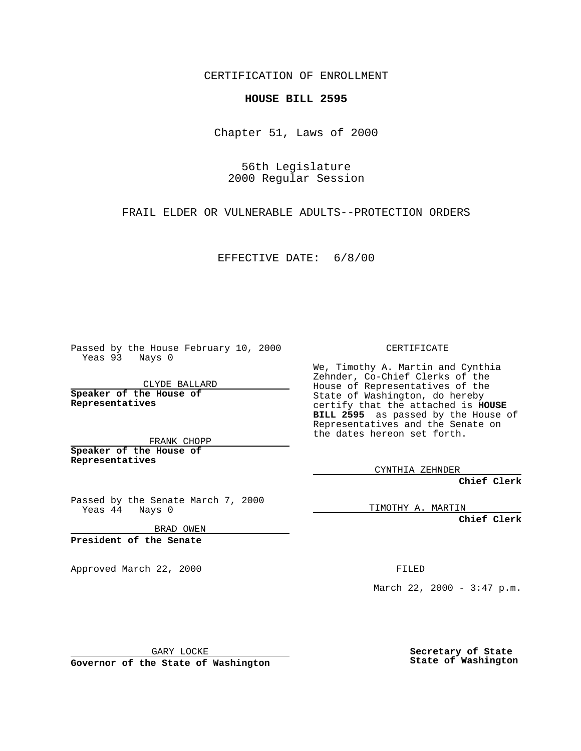CERTIFICATION OF ENROLLMENT

## **HOUSE BILL 2595**

Chapter 51, Laws of 2000

56th Legislature 2000 Regular Session

FRAIL ELDER OR VULNERABLE ADULTS--PROTECTION ORDERS

EFFECTIVE DATE: 6/8/00

Passed by the House February 10, 2000 Yeas 93 Nays 0

CLYDE BALLARD **Speaker of the House of Representatives**

FRANK CHOPP **Speaker of the House of**

**Representatives**

Passed by the Senate March 7, 2000 Yeas 44 Nays 0

BRAD OWEN

**President of the Senate**

Approved March 22, 2000 FILED

CERTIFICATE

We, Timothy A. Martin and Cynthia Zehnder, Co-Chief Clerks of the House of Representatives of the State of Washington, do hereby certify that the attached is **HOUSE BILL 2595** as passed by the House of Representatives and the Senate on the dates hereon set forth.

CYNTHIA ZEHNDER

**Chief Clerk**

TIMOTHY A. MARTIN

**Chief Clerk**

March 22, 2000 - 3:47 p.m.

GARY LOCKE

**Governor of the State of Washington**

**Secretary of State State of Washington**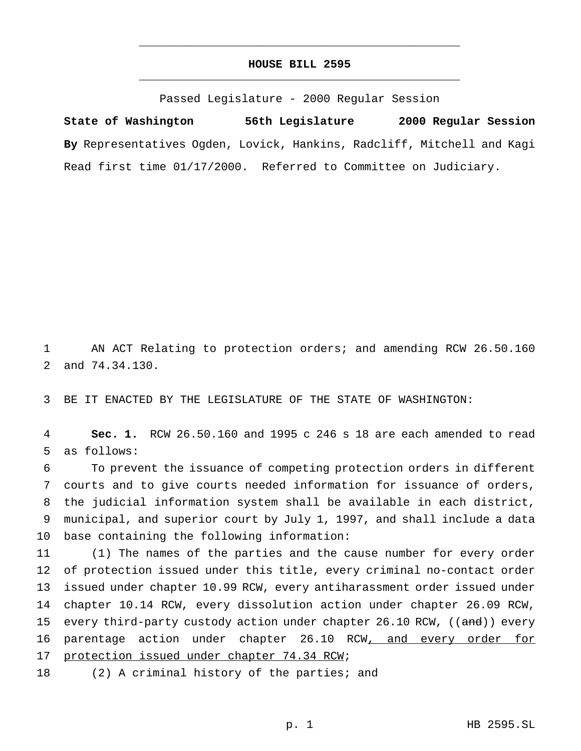## **HOUSE BILL 2595** \_\_\_\_\_\_\_\_\_\_\_\_\_\_\_\_\_\_\_\_\_\_\_\_\_\_\_\_\_\_\_\_\_\_\_\_\_\_\_\_\_\_\_\_\_\_\_

\_\_\_\_\_\_\_\_\_\_\_\_\_\_\_\_\_\_\_\_\_\_\_\_\_\_\_\_\_\_\_\_\_\_\_\_\_\_\_\_\_\_\_\_\_\_\_

Passed Legislature - 2000 Regular Session

**State of Washington 56th Legislature 2000 Regular Session By** Representatives Ogden, Lovick, Hankins, Radcliff, Mitchell and Kagi Read first time 01/17/2000. Referred to Committee on Judiciary.

1 AN ACT Relating to protection orders; and amending RCW 26.50.160 2 and 74.34.130.

3 BE IT ENACTED BY THE LEGISLATURE OF THE STATE OF WASHINGTON:

4 **Sec. 1.** RCW 26.50.160 and 1995 c 246 s 18 are each amended to read 5 as follows:

 To prevent the issuance of competing protection orders in different courts and to give courts needed information for issuance of orders, the judicial information system shall be available in each district, municipal, and superior court by July 1, 1997, and shall include a data base containing the following information:

11 (1) The names of the parties and the cause number for every order 12 of protection issued under this title, every criminal no-contact order 13 issued under chapter 10.99 RCW, every antiharassment order issued under 14 chapter 10.14 RCW, every dissolution action under chapter 26.09 RCW, 15 every third-party custody action under chapter 26.10 RCW, ((and)) every 16 parentage action under chapter 26.10 RCW, and every order for 17 protection issued under chapter 74.34 RCW;

18 (2) A criminal history of the parties; and